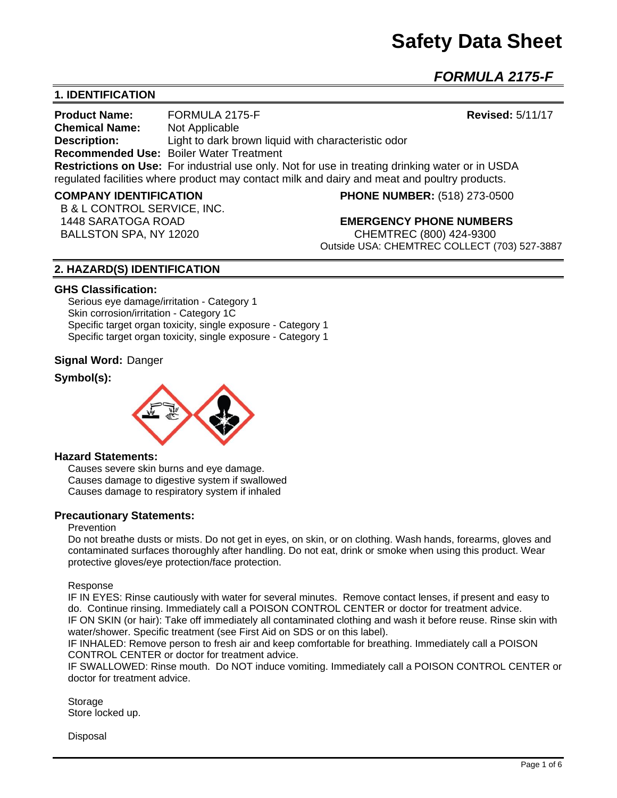# **Safety Data Sheet**

*FORMULA 2175-F*

# **1. IDENTIFICATION**

**Product Name:** FORMULA 2175-F **Revised:** 5/11/17 **Chemical Name:** Not Applicable **Description:** Light to dark brown liquid with characteristic odor **Recommended Use:** Boiler Water Treatment **Restrictions on Use:** For industrial use only. Not for use in treating drinking water or in USDA regulated facilities where product may contact milk and dairy and meat and poultry products.

#### **COMPANY IDENTIFICATION PHONE NUMBER:** (518) 273-0500

B & L CONTROL SERVICE, INC.

 1448 SARATOGA ROAD **EMERGENCY PHONE NUMBERS** BALLSTON SPA, NY 12020 CHEMTREC (800) 424-9300 Outside USA: CHEMTREC COLLECT (703) 527-3887

# **2. HAZARD(S) IDENTIFICATION**

#### **GHS Classification:**

Serious eye damage/irritation - Category 1 Skin corrosion/irritation - Category 1C Specific target organ toxicity, single exposure - Category 1 Specific target organ toxicity, single exposure - Category 1

#### **Signal Word:** Danger

## **Symbol(s):**



#### **Hazard Statements:**

Causes severe skin burns and eye damage. Causes damage to digestive system if swallowed Causes damage to respiratory system if inhaled

## **Precautionary Statements:**

#### Prevention

Do not breathe dusts or mists. Do not get in eyes, on skin, or on clothing. Wash hands, forearms, gloves and contaminated surfaces thoroughly after handling. Do not eat, drink or smoke when using this product. Wear protective gloves/eye protection/face protection.

#### Response

IF IN EYES: Rinse cautiously with water for several minutes. Remove contact lenses, if present and easy to do. Continue rinsing. Immediately call a POISON CONTROL CENTER or doctor for treatment advice. IF ON SKIN (or hair): Take off immediately all contaminated clothing and wash it before reuse. Rinse skin with water/shower. Specific treatment (see First Aid on SDS or on this label).

IF INHALED: Remove person to fresh air and keep comfortable for breathing. Immediately call a POISON CONTROL CENTER or doctor for treatment advice.

IF SWALLOWED: Rinse mouth. Do NOT induce vomiting. Immediately call a POISON CONTROL CENTER or doctor for treatment advice.

Storage Store locked up.

Disposal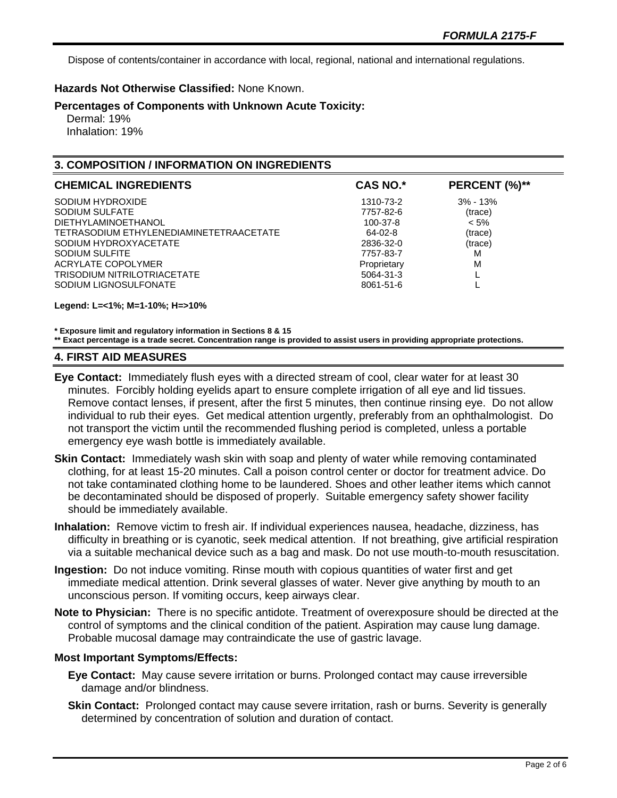Dispose of contents/container in accordance with local, regional, national and international regulations.

## **Hazards Not Otherwise Classified:** None Known.

#### **Percentages of Components with Unknown Acute Toxicity:**

 Dermal: 19% Inhalation: 19%

# **3. COMPOSITION / INFORMATION ON INGREDIENTS**

| <b>CHEMICAL INGREDIENTS</b>             | <b>CAS NO.*</b> | PERCENT (%)** |
|-----------------------------------------|-----------------|---------------|
| SODIUM HYDROXIDE                        | 1310-73-2       | $3\% - 13\%$  |
| SODIUM SULFATE                          | 7757-82-6       | (trace)       |
| DIETHYLAMINOETHANOL                     | 100-37-8        | $< 5\%$       |
| TETRASODIUM ETHYLENEDIAMINETETRAACETATE | 64-02-8         | (trace)       |
| SODIUM HYDROXYACETATE                   | 2836-32-0       | (trace)       |
| SODIUM SULFITE                          | 7757-83-7       | M             |
| ACRYLATE COPOLYMER                      | Proprietary     | M             |
| TRISODIUM NITRILOTRIACETATE             | 5064-31-3       |               |
| SODIUM LIGNOSULFONATE                   | 8061-51-6       |               |

**Legend: L=<1%; M=1-10%; H=>10%**

**\* Exposure limit and regulatory information in Sections 8 & 15**

**\*\* Exact percentage is a trade secret. Concentration range is provided to assist users in providing appropriate protections.**

#### **4. FIRST AID MEASURES**

- **Eye Contact:** Immediately flush eyes with a directed stream of cool, clear water for at least 30 minutes. Forcibly holding eyelids apart to ensure complete irrigation of all eye and lid tissues. Remove contact lenses, if present, after the first 5 minutes, then continue rinsing eye. Do not allow individual to rub their eyes. Get medical attention urgently, preferably from an ophthalmologist. Do not transport the victim until the recommended flushing period is completed, unless a portable emergency eye wash bottle is immediately available.
- **Skin Contact:** Immediately wash skin with soap and plenty of water while removing contaminated clothing, for at least 15-20 minutes. Call a poison control center or doctor for treatment advice. Do not take contaminated clothing home to be laundered. Shoes and other leather items which cannot be decontaminated should be disposed of properly. Suitable emergency safety shower facility should be immediately available.
- **Inhalation:** Remove victim to fresh air. If individual experiences nausea, headache, dizziness, has difficulty in breathing or is cyanotic, seek medical attention. If not breathing, give artificial respiration via a suitable mechanical device such as a bag and mask. Do not use mouth-to-mouth resuscitation.
- **Ingestion:** Do not induce vomiting. Rinse mouth with copious quantities of water first and get immediate medical attention. Drink several glasses of water. Never give anything by mouth to an unconscious person. If vomiting occurs, keep airways clear.
- **Note to Physician:** There is no specific antidote. Treatment of overexposure should be directed at the control of symptoms and the clinical condition of the patient. Aspiration may cause lung damage. Probable mucosal damage may contraindicate the use of gastric lavage.

## **Most Important Symptoms/Effects:**

- **Eye Contact:** May cause severe irritation or burns. Prolonged contact may cause irreversible damage and/or blindness.
- **Skin Contact:** Prolonged contact may cause severe irritation, rash or burns. Severity is generally determined by concentration of solution and duration of contact.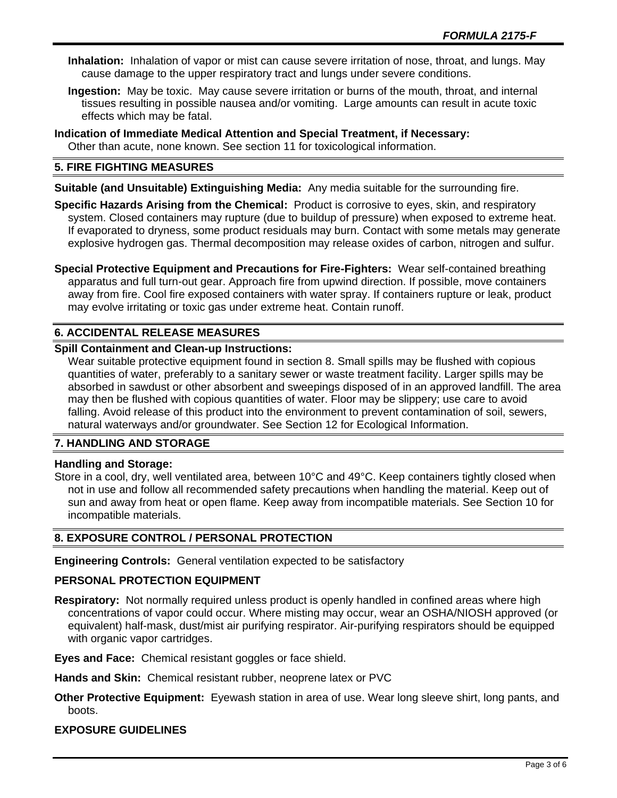- **Inhalation:** Inhalation of vapor or mist can cause severe irritation of nose, throat, and lungs. May cause damage to the upper respiratory tract and lungs under severe conditions.
- **Ingestion:** May be toxic. May cause severe irritation or burns of the mouth, throat, and internal tissues resulting in possible nausea and/or vomiting. Large amounts can result in acute toxic effects which may be fatal.
- **Indication of Immediate Medical Attention and Special Treatment, if Necessary:** Other than acute, none known. See section 11 for toxicological information.

# **5. FIRE FIGHTING MEASURES**

**Suitable (and Unsuitable) Extinguishing Media:** Any media suitable for the surrounding fire.

**Specific Hazards Arising from the Chemical:** Product is corrosive to eyes, skin, and respiratory system. Closed containers may rupture (due to buildup of pressure) when exposed to extreme heat. If evaporated to dryness, some product residuals may burn. Contact with some metals may generate explosive hydrogen gas. Thermal decomposition may release oxides of carbon, nitrogen and sulfur.

**Special Protective Equipment and Precautions for Fire-Fighters:** Wear self-contained breathing apparatus and full turn-out gear. Approach fire from upwind direction. If possible, move containers away from fire. Cool fire exposed containers with water spray. If containers rupture or leak, product may evolve irritating or toxic gas under extreme heat. Contain runoff.

# **6. ACCIDENTAL RELEASE MEASURES**

## **Spill Containment and Clean-up Instructions:**

Wear suitable protective equipment found in section 8. Small spills may be flushed with copious quantities of water, preferably to a sanitary sewer or waste treatment facility. Larger spills may be absorbed in sawdust or other absorbent and sweepings disposed of in an approved landfill. The area may then be flushed with copious quantities of water. Floor may be slippery; use care to avoid falling. Avoid release of this product into the environment to prevent contamination of soil, sewers, natural waterways and/or groundwater. See Section 12 for Ecological Information.

## **7. HANDLING AND STORAGE**

## **Handling and Storage:**

Store in a cool, dry, well ventilated area, between 10°C and 49°C. Keep containers tightly closed when not in use and follow all recommended safety precautions when handling the material. Keep out of sun and away from heat or open flame. Keep away from incompatible materials. See Section 10 for incompatible materials.

## **8. EXPOSURE CONTROL / PERSONAL PROTECTION**

**Engineering Controls:** General ventilation expected to be satisfactory

## **PERSONAL PROTECTION EQUIPMENT**

**Respiratory:** Not normally required unless product is openly handled in confined areas where high concentrations of vapor could occur. Where misting may occur, wear an OSHA/NIOSH approved (or equivalent) half-mask, dust/mist air purifying respirator. Air-purifying respirators should be equipped with organic vapor cartridges.

**Eyes and Face:** Chemical resistant goggles or face shield.

**Hands and Skin:** Chemical resistant rubber, neoprene latex or PVC

**Other Protective Equipment:** Eyewash station in area of use. Wear long sleeve shirt, long pants, and boots.

## **EXPOSURE GUIDELINES**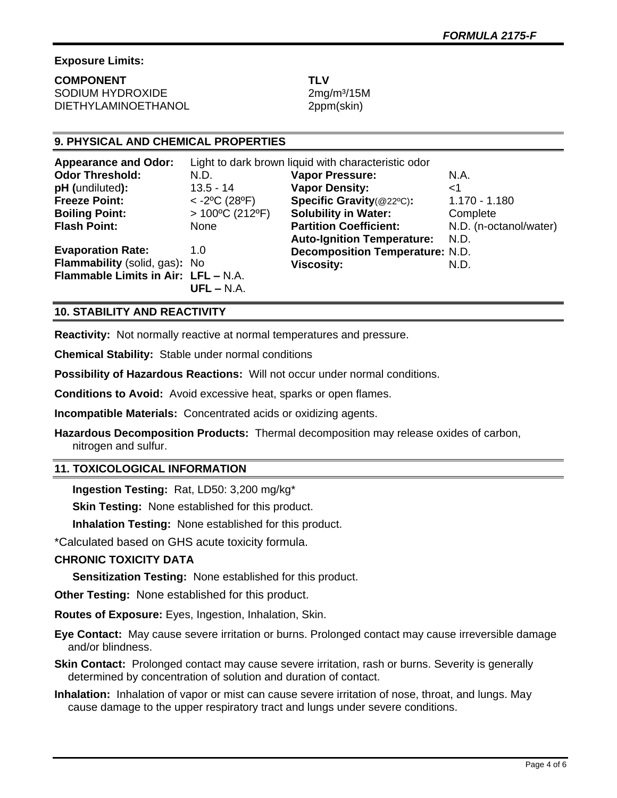# **Exposure Limits:**

**COMPONENT TLV** SODIUM HYDROXIDE 2mg/m<sup>3</sup>/15M DIETHYLAMINOETHANOL 2ppm(skin)

# **9. PHYSICAL AND CHEMICAL PROPERTIES**

| <b>Appearance and Odor:</b>         | Light to dark brown liquid with characteristic odor |                                        |                        |
|-------------------------------------|-----------------------------------------------------|----------------------------------------|------------------------|
| <b>Odor Threshold:</b>              | N.D.                                                | <b>Vapor Pressure:</b>                 | N.A.                   |
| pH (undiluted):                     | $13.5 - 14$                                         | <b>Vapor Density:</b>                  | ا>                     |
| <b>Freeze Point:</b>                | $<$ -2°C (28°F)                                     | Specific Gravity(@22°C):               | $1.170 - 1.180$        |
| <b>Boiling Point:</b>               | $>100^{\circ}$ C (212°F)                            | <b>Solubility in Water:</b>            | Complete               |
| <b>Flash Point:</b>                 | None                                                | <b>Partition Coefficient:</b>          | N.D. (n-octanol/water) |
|                                     |                                                     | <b>Auto-Ignition Temperature:</b>      | N.D.                   |
| <b>Evaporation Rate:</b>            | 1.0                                                 | <b>Decomposition Temperature: N.D.</b> |                        |
| Flammability (solid, gas): No       |                                                     | <b>Viscosity:</b>                      | N.D.                   |
| Flammable Limits in Air: LFL - N.A. |                                                     |                                        |                        |
|                                     | $UFL - N.A.$                                        |                                        |                        |

# **10. STABILITY AND REACTIVITY**

**Reactivity:** Not normally reactive at normal temperatures and pressure.

**Chemical Stability:** Stable under normal conditions

**Possibility of Hazardous Reactions:** Will not occur under normal conditions.

**Conditions to Avoid:** Avoid excessive heat, sparks or open flames.

**Incompatible Materials:** Concentrated acids or oxidizing agents.

**Hazardous Decomposition Products:** Thermal decomposition may release oxides of carbon, nitrogen and sulfur.

## **11. TOXICOLOGICAL INFORMATION**

**Ingestion Testing:** Rat, LD50: 3,200 mg/kg\*

**Skin Testing: None established for this product.** 

**Inhalation Testing:** None established for this product.

\*Calculated based on GHS acute toxicity formula.

# **CHRONIC TOXICITY DATA**

**Sensitization Testing:** None established for this product.

**Other Testing:** None established for this product.

**Routes of Exposure:** Eyes, Ingestion, Inhalation, Skin.

**Eye Contact:** May cause severe irritation or burns. Prolonged contact may cause irreversible damage and/or blindness.

**Skin Contact:** Prolonged contact may cause severe irritation, rash or burns. Severity is generally determined by concentration of solution and duration of contact.

**Inhalation:** Inhalation of vapor or mist can cause severe irritation of nose, throat, and lungs. May cause damage to the upper respiratory tract and lungs under severe conditions.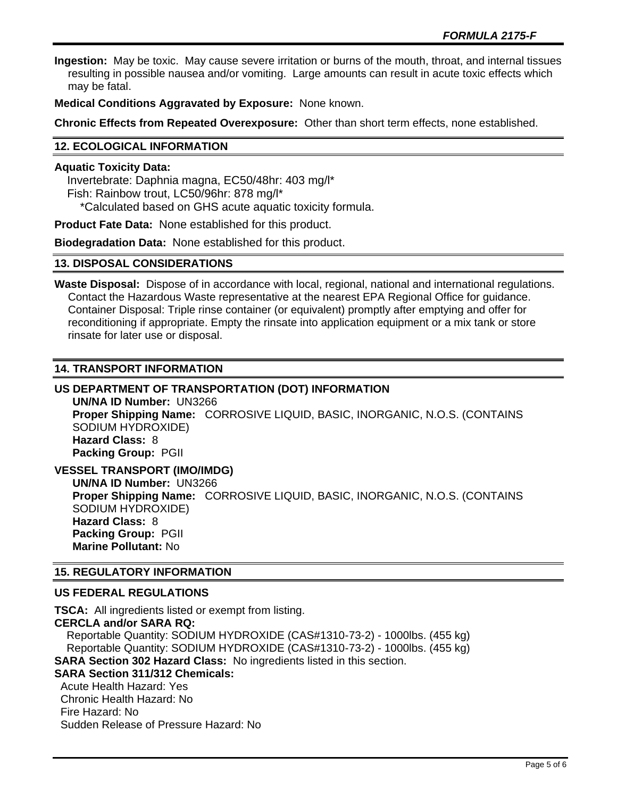**Ingestion:** May be toxic. May cause severe irritation or burns of the mouth, throat, and internal tissues resulting in possible nausea and/or vomiting. Large amounts can result in acute toxic effects which may be fatal.

**Medical Conditions Aggravated by Exposure:** None known.

**Chronic Effects from Repeated Overexposure:** Other than short term effects, none established.

# **12. ECOLOGICAL INFORMATION**

#### **Aquatic Toxicity Data:**

 Invertebrate: Daphnia magna, EC50/48hr: 403 mg/l\* Fish: Rainbow trout, LC50/96hr: 878 mg/l\* \*Calculated based on GHS acute aquatic toxicity formula.

**Product Fate Data:** None established for this product.

**Biodegradation Data:** None established for this product.

#### **13. DISPOSAL CONSIDERATIONS**

**Waste Disposal:** Dispose of in accordance with local, regional, national and international regulations. Contact the Hazardous Waste representative at the nearest EPA Regional Office for guidance. Container Disposal: Triple rinse container (or equivalent) promptly after emptying and offer for reconditioning if appropriate. Empty the rinsate into application equipment or a mix tank or store rinsate for later use or disposal.

## **14. TRANSPORT INFORMATION**

# **US DEPARTMENT OF TRANSPORTATION (DOT) INFORMATION**

**UN/NA ID Number:** UN3266 **Proper Shipping Name:** CORROSIVE LIQUID, BASIC, INORGANIC, N.O.S. (CONTAINS SODIUM HYDROXIDE) **Hazard Class:** 8 **Packing Group:** PGII

**VESSEL TRANSPORT (IMO/IMDG) UN/NA ID Number:** UN3266 **Proper Shipping Name:** CORROSIVE LIQUID, BASIC, INORGANIC, N.O.S. (CONTAINS SODIUM HYDROXIDE) **Hazard Class:** 8 **Packing Group:** PGII **Marine Pollutant:** No

## **15. REGULATORY INFORMATION**

## **US FEDERAL REGULATIONS**

**TSCA:** All ingredients listed or exempt from listing. **CERCLA and/or SARA RQ:**  Reportable Quantity: SODIUM HYDROXIDE (CAS#1310-73-2) - 1000lbs. (455 kg) Reportable Quantity: SODIUM HYDROXIDE (CAS#1310-73-2) - 1000lbs. (455 kg) **SARA Section 302 Hazard Class:** No ingredients listed in this section. **SARA Section 311/312 Chemicals:**  Acute Health Hazard: Yes Chronic Health Hazard: No Fire Hazard: No

Sudden Release of Pressure Hazard: No